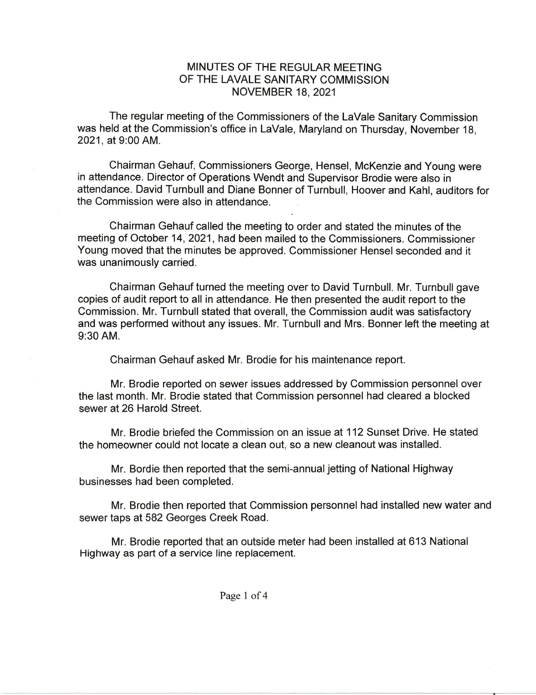## MINUTES OF THE REGULAR MEETING OF THE LAVALE SANITARY COMMISSION NOVEMBER 18, 2021

The regular meeting of the Commissioners of the LaVale Sanitary Commission was held at the Commission's office in LaVale, Maryland on Thursday, November 18, 2021, at 9:00AM.

Chairman Gehauf, Commissioners George, Hensel, McKenzie and Young were in attendance. Director of Operations Wendt and Supervisor Brodie were also in attendance. David Turnbull and Diane Bonner of Turnbull, Hoover and Kahl, auditors for the Commission were also in attendance.

Chairman Gehauf called the meeting to order and stated the minutes of the meeting of October 14, 2021, had been mailed to the Commissioners. Commissioner Young moved that the minutes be approved. Commissioner Hensel seconded and it was unanimously carried.

Chairman Gehauf turned the meeting over to David Turnbull. Mr. Turnbull gave copies of audit report to all in attendance. He then presented the audit report to the Commission. Mr. Turnbull stated that overall, the Commission audit was satisfactory and was performed without any issues. Mr. Turnbull and Mrs. Bonner left the meeting at 9:30AM.

Chairman Gehauf asked Mr. Brodie for his maintenance report.

Mr. Brodie reported on sewer issues addressed by Commission personnel over the last month. Mr. Brodie stated that Commission personnel had cleared a blocked sewer at 26 Harold Street.

Mr. Brodie briefed the Commission on an issue at 112 Sunset Drive. He stated the homeowner could not locate a clean out, so a new cleanout was installed.

Mr. Bordie then reported that the semi-annual jetting of National Highway businesses had been completed.

Mr. Brodie then reported that Commission personnel had installed new water and sewer taps at 582 Georges Creek Road.

Mr. Brodie reported that an outside meter had been installed at 613 National Highway as part of a service line replacement.

Page 1 of 4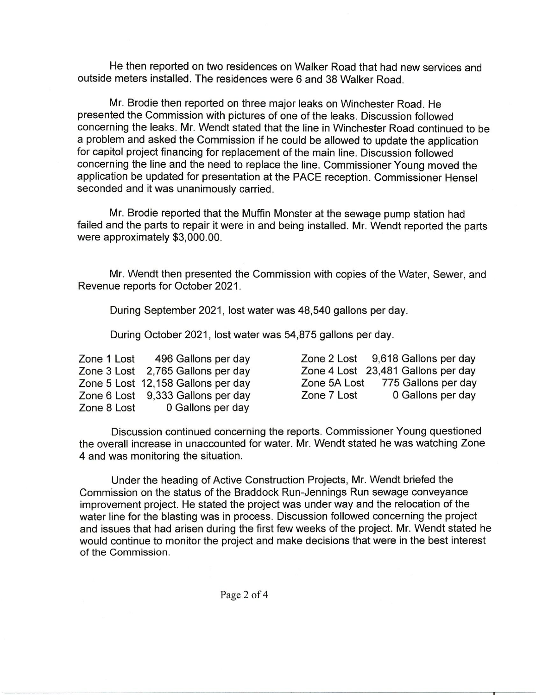He then reported on two residences on Walker Road that had new services and outside meters installed. The residences were 6 and 38 Walker Road.

Mr. Brodie then reported on three major leaks on Winchester Road. He presented the Commission with pictures of one of the leaks. Discussion followed concerning the leaks. Mr. Wendt stated that the line in Winchester Road continued to be a problem and asked the Commission if he could be allowed to update the application for capitol project financing for replacement of the main line. Discussion followed concerning the line and the need to replace the line. Commissioner Young moved the application be updated for presentation at the PACE reception. Commissioner Hensel seconded and it was unanimously carried.

Mr. Brodie reported that the Muffin Monster at the sewage pump station had failed and the parts to repair it were in and being installed. Mr. Wendt reported the parts were approximately \$3,000.00.

Mr. Wendt then presented the Commission with copies of the Water, Sewer, and Revenue reports for October 2021.

During September 2021, lost water was 48,540 gallons per day.

During October 2021, lost water was 54,875 gallons per day.

| Zone 1 Lost | 496 Gallons per day                |             | Zone 2 Lost 9,618 Gallons per day  |
|-------------|------------------------------------|-------------|------------------------------------|
|             | Zone 3 Lost 2,765 Gallons per day  |             | Zone 4 Lost 23,481 Gallons per day |
|             | Zone 5 Lost 12,158 Gallons per day |             | Zone 5A Lost 775 Gallons per day   |
|             | Zone 6 Lost 9,333 Gallons per day  | Zone 7 Lost | 0 Gallons per day                  |
| Zone 8 Lost | 0 Gallons per day                  |             |                                    |

Discussion continued concerning the reports. Commissioner Young questioned the overall increase in unaccounted for water. Mr. Wendt stated he was watching Zone 4 and was monitoring the situation.

Under the heading of Active Construction Projects, Mr. Wendt briefed the Commission on the status of the Braddock Run-Jennings Run sewage conveyance improvement project. He stated the project was under way and the relocation of the water line for the blasting was in process. Discussion followed concerning the project and issues that had arisen during the first few weeks of the project. Mr. Wendt stated he would continue to monitor the project and make decisions that were in the best interest of the Commission.

Page 2 of 4